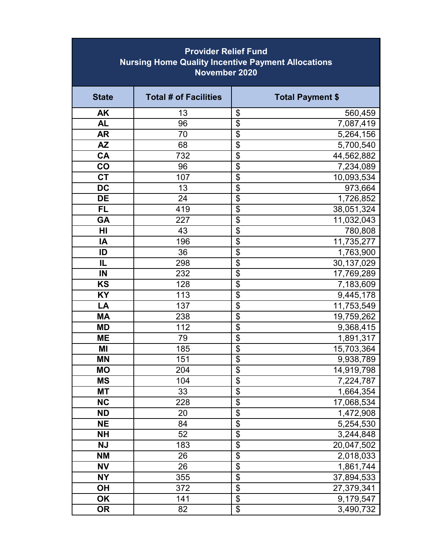| <b>Provider Relief Fund</b><br><b>Nursing Home Quality Incentive Payment Allocations</b><br>November 2020 |                              |                                  |                         |  |
|-----------------------------------------------------------------------------------------------------------|------------------------------|----------------------------------|-------------------------|--|
| <b>State</b>                                                                                              | <b>Total # of Facilities</b> |                                  | <b>Total Payment \$</b> |  |
| <b>AK</b>                                                                                                 | 13                           | \$                               | 560,459                 |  |
| <b>AL</b>                                                                                                 | 96                           | $\overline{\$}$                  | 7,087,419               |  |
| <b>AR</b>                                                                                                 | 70                           | $\overline{\boldsymbol{\theta}}$ | 5,264,156               |  |
| <b>AZ</b>                                                                                                 | 68                           | $\overline{\mathcal{L}}$         | 5,700,540               |  |
| <b>CA</b>                                                                                                 | 732                          | $\overline{\mathcal{L}}$         | 44,562,882              |  |
| CO                                                                                                        | 96                           | $\overline{\$}$                  | 7,234,089               |  |
| <b>CT</b>                                                                                                 | 107                          | \$                               | 10,093,534              |  |
| $\overline{DC}$                                                                                           | 13                           | $\frac{6}{9}$                    | 973,664                 |  |
| <b>DE</b>                                                                                                 | 24                           |                                  | 1,726,852               |  |
| <b>FL</b>                                                                                                 | 419                          | \$                               | 38,051,324              |  |
| <b>GA</b>                                                                                                 | 227                          | $\overline{\$}$                  | 11,032,043              |  |
| HI                                                                                                        | 43                           | $\overline{\mathfrak{s}}$        | 780,808                 |  |
| IA                                                                                                        | 196                          | $\overline{\$}$                  | 11,735,277              |  |
| ID                                                                                                        | 36                           | $\frac{6}{9}$                    | 1,763,900               |  |
| IL                                                                                                        | 298                          |                                  | 30,137,029              |  |
| IN                                                                                                        | 232                          | \$                               | 17,769,289              |  |
| <b>KS</b>                                                                                                 | 128                          | $\overline{\$}$                  | 7,183,609               |  |
| <b>KY</b>                                                                                                 | 113                          | $\overline{\$}$                  | 9,445,178               |  |
| LA                                                                                                        | 137                          | $\overline{\$}$                  | 11,753,549              |  |
| <b>MA</b>                                                                                                 | 238                          | \$                               | 19,759,262              |  |
| <b>MD</b>                                                                                                 | 112                          | $\frac{6}{9}$                    | 9,368,415               |  |
| <b>ME</b>                                                                                                 | 79                           |                                  | 1,891,317               |  |
| ΜI                                                                                                        | 185                          | $\overline{\mathcal{G}}$         | 15,703,364              |  |
| ΜN                                                                                                        | 151                          | \$                               | 9,938,789               |  |
| <b>MO</b>                                                                                                 | 204                          | $\overline{\$}$                  | 14,919,798              |  |
| <b>MS</b>                                                                                                 | 104                          | \$                               | 7,224,787               |  |
| МT                                                                                                        | 33                           | $\overline{\mathcal{L}}$         | 1,664,354               |  |
| <b>NC</b>                                                                                                 | 228                          | $\overline{\$}$                  | 17,068,534              |  |
| <b>ND</b>                                                                                                 | 20                           | $\overline{\$}$                  | 1,472,908               |  |
| <b>NE</b>                                                                                                 | 84                           | $\overline{\$}$                  | 5,254,530               |  |
| <b>NH</b>                                                                                                 | 52                           | $\overline{\$}$                  | 3,244,848               |  |
| <b>NJ</b>                                                                                                 | 183                          | $\frac{1}{2}$                    | 20,047,502              |  |
| <b>NM</b>                                                                                                 | 26                           |                                  | 2,018,033               |  |
| <b>NV</b>                                                                                                 | 26                           | $\frac{6}{9}$                    | 1,861,744               |  |
| <b>NY</b>                                                                                                 | 355                          |                                  | 37,894,533              |  |
| OH                                                                                                        | 372                          | $\overline{\$}$                  | 27,379,341              |  |
| <b>OK</b>                                                                                                 | 141                          | $\overline{\$}$                  | 9,179,547               |  |
| <b>OR</b>                                                                                                 | 82                           | $\overline{\$}$                  | 3,490,732               |  |